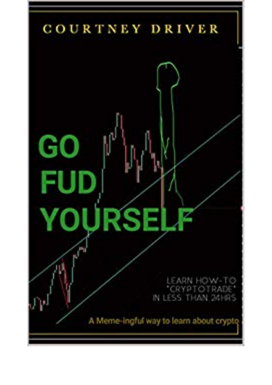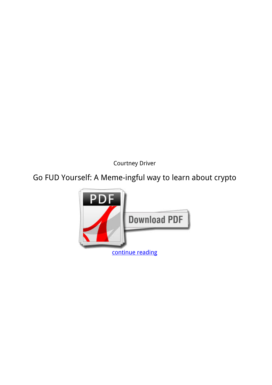*Courtney Driver*

**Go FUD Yourself: A Meme-ingful way to learn about crypto**

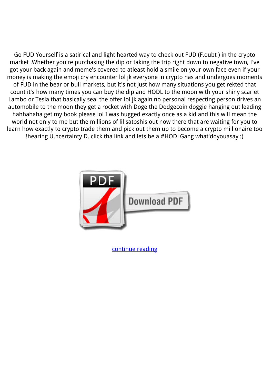Go FUD Yourself is a satirical and light hearted way to check out FUD (F.oubt ) in the crypto market .Whether you're purchasing the dip or taking the trip right down to negative town, I've got your back again and meme's covered to atleast hold a smile on your own face even if your money is making the emoji cry encounter lol jk everyone in crypto has and undergoes moments of FUD in the bear or bull markets, but it's not just how many situations you get rekted that count it's how many times you can buy the dip and HODL to the moon with your shiny scarlet Lambo or Tesla that basically seal the offer lol jk again no personal respecting person drives an automobile to the moon they get a rocket with Doge the Dodgecoin doggie hanging out leading hahhahaha get my book please lol I was hugged exactly once as a kid and this will mean the world not only to me but the millions of lil satoshis out now there that are waiting for you to learn how exactly to crypto trade them and pick out them up to become a crypto millionaire too !hearing U.ncertainty D. click tha link and lets be a #HODLGang what'doyouasay :)



[continue reading](http://bit.ly/2Tge8Fv)